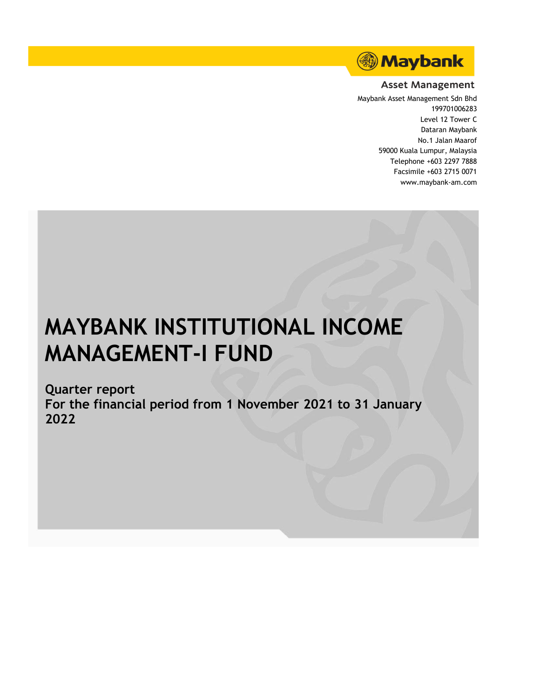

## **Asset Management**

Maybank Asset Management Sdn Bhd 199701006283 Level 12 Tower C Dataran Maybank No.1 Jalan Maarof 59000 Kuala Lumpur, Malaysia Telephone +603 2297 7888 Facsimile +603 2715 0071 www.maybank-am.com

# **MAYBANK INSTITUTIONAL INCOME MANAGEMENT-I FUND**

**Quarter report For the financial period from 1 November 2021 to 31 January 2022**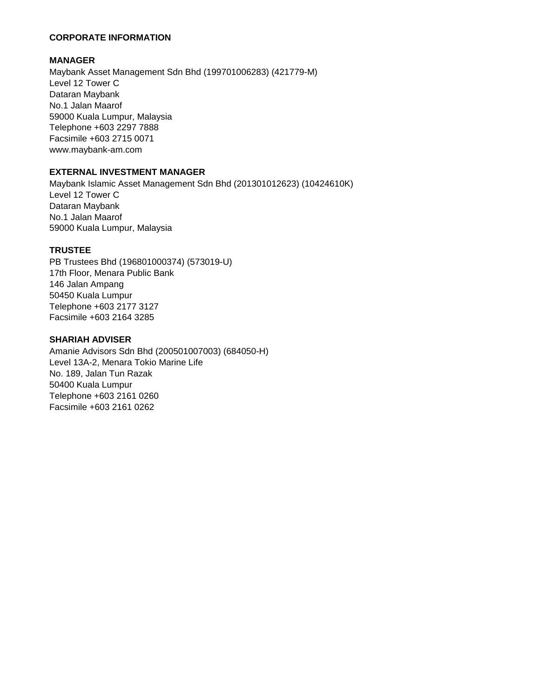## **CORPORATE INFORMATION**

## **MANAGER**

Maybank Asset Management Sdn Bhd (199701006283) (421779-M) Level 12 Tower C Dataran Maybank No.1 Jalan Maarof 59000 Kuala Lumpur, Malaysia Telephone +603 2297 7888 Facsimile +603 2715 0071 www.maybank-am.com

## **EXTERNAL INVESTMENT MANAGER**

Maybank Islamic Asset Management Sdn Bhd (201301012623) (10424610K) Level 12 Tower C Dataran Maybank No.1 Jalan Maarof 59000 Kuala Lumpur, Malaysia

## **TRUSTEE**

PB Trustees Bhd (196801000374) (573019-U) 17th Floor, Menara Public Bank 146 Jalan Ampang 50450 Kuala Lumpur Telephone +603 2177 3127 Facsimile +603 2164 3285

## **SHARIAH ADVISER**

Amanie Advisors Sdn Bhd (200501007003) (684050-H) Level 13A-2, Menara Tokio Marine Life No. 189, Jalan Tun Razak 50400 Kuala Lumpur Telephone +603 2161 0260 Facsimile +603 2161 0262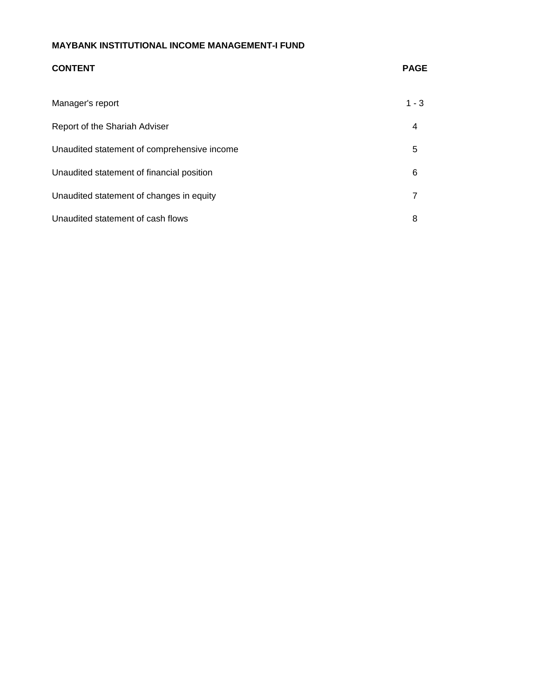## **CONTENT PAGE** Manager's report 1 - 3 Report of the Shariah Adviser 4 Unaudited statement of comprehensive income  $5$ Unaudited statement of financial position 6 and 6 and 6 and 6 and 6 and 6 and 6 and 6 and 6 and 6 and 6 and 6  $\epsilon$ Unaudited statement of changes in equity **7** and  $\overline{7}$ Unaudited statement of cash flows 8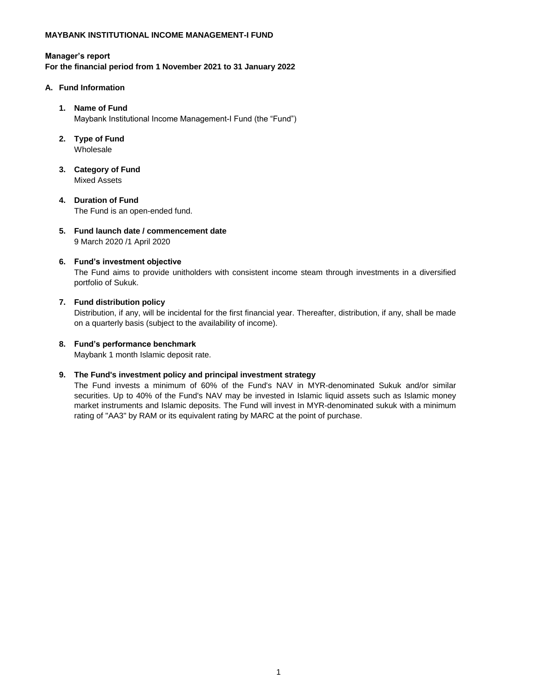#### **Manager's report**

**For the financial period from 1 November 2021 to 31 January 2022**

#### **A. Fund Information**

#### **1. Name of Fund**

Maybank Institutional Income Management-I Fund (the "Fund")

**2. Type of Fund**

Wholesale

- **3. Category of Fund** Mixed Assets
- **4. Duration of Fund** The Fund is an open-ended fund.
- **5. Fund launch date / commencement date** 9 March 2020 /1 April 2020

#### **6. Fund's investment objective**

The Fund aims to provide unitholders with consistent income steam through investments in a diversified portfolio of Sukuk.

#### **7. Fund distribution policy**

Distribution, if any, will be incidental for the first financial year. Thereafter, distribution, if any, shall be made on a quarterly basis (subject to the availability of income).

#### **8. Fund's performance benchmark**

Maybank 1 month Islamic deposit rate.

#### **9. The Fund's investment policy and principal investment strategy**

The Fund invests a minimum of 60% of the Fund's NAV in MYR-denominated Sukuk and/or similar securities. Up to 40% of the Fund's NAV may be invested in Islamic liquid assets such as Islamic money market instruments and Islamic deposits. The Fund will invest in MYR-denominated sukuk with a minimum rating of "AA3" by RAM or its equivalent rating by MARC at the point of purchase.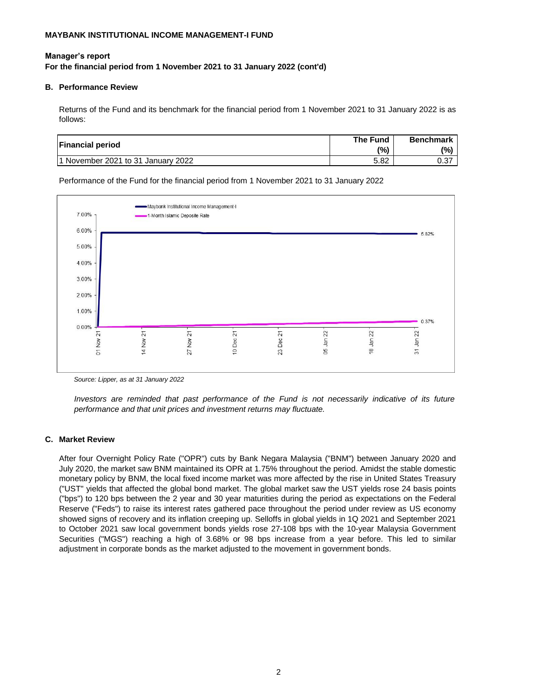#### **For the financial period from 1 November 2021 to 31 January 2022 (cont'd) Manager's report**

#### **B. Performance Review**

Returns of the Fund and its benchmark for the financial period from 1 November 2021 to 31 January 2022 is as follows:

| <b>Financial period</b>            | The Fund<br>(%) | <b>Benchmark</b><br>(%) |
|------------------------------------|-----------------|-------------------------|
| 1 November 2021 to 31 January 2022 | 5.82            | 0.37                    |

Performance of the Fund for the financial period from 1 November 2021 to 31 January 2022



*Source: Lipper, as at 31 January 2022*

*Investors are reminded that past performance of the Fund is not necessarily indicative of its future performance and that unit prices and investment returns may fluctuate.*

#### **C. Market Review**

After four Overnight Policy Rate ("OPR") cuts by Bank Negara Malaysia ("BNM") between January 2020 and July 2020, the market saw BNM maintained its OPR at 1.75% throughout the period. Amidst the stable domestic monetary policy by BNM, the local fixed income market was more affected by the rise in United States Treasury ("UST" yields that affected the global bond market. The global market saw the UST yields rose 24 basis points ("bps") to 120 bps between the 2 year and 30 year maturities during the period as expectations on the Federal Reserve ("Feds") to raise its interest rates gathered pace throughout the period under review as US economy showed signs of recovery and its inflation creeping up. Selloffs in global yields in 1Q 2021 and September 2021 to October 2021 saw local government bonds yields rose 27-108 bps with the 10-year Malaysia Government Securities ("MGS") reaching a high of 3.68% or 98 bps increase from a year before. This led to similar adjustment in corporate bonds as the market adjusted to the movement in government bonds.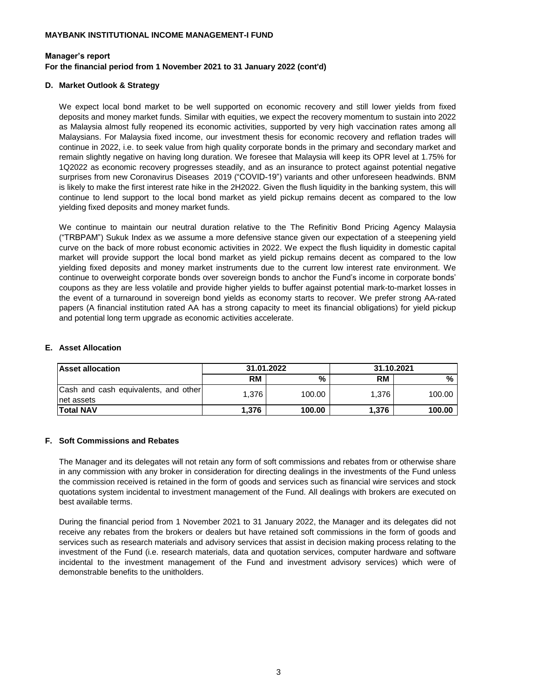#### **For the financial period from 1 November 2021 to 31 January 2022 (cont'd) Manager's report**

#### **D. Market Outlook & Strategy**

We expect local bond market to be well supported on economic recovery and still lower yields from fixed deposits and money market funds. Similar with equities, we expect the recovery momentum to sustain into 2022 as Malaysia almost fully reopened its economic activities, supported by very high vaccination rates among all Malaysians. For Malaysia fixed income, our investment thesis for economic recovery and reflation trades will continue in 2022, i.e. to seek value from high quality corporate bonds in the primary and secondary market and remain slightly negative on having long duration. We foresee that Malaysia will keep its OPR level at 1.75% for 1Q2022 as economic recovery progresses steadily, and as an insurance to protect against potential negative surprises from new Coronavirus Diseases 2019 ("COVID-19") variants and other unforeseen headwinds. BNM is likely to make the first interest rate hike in the 2H2022. Given the flush liquidity in the banking system, this will continue to lend support to the local bond market as yield pickup remains decent as compared to the low yielding fixed deposits and money market funds.

We continue to maintain our neutral duration relative to the The Refinitiv Bond Pricing Agency Malaysia ("TRBPAM") Sukuk Index as we assume a more defensive stance given our expectation of a steepening yield curve on the back of more robust economic activities in 2022. We expect the flush liquidity in domestic capital market will provide support the local bond market as yield pickup remains decent as compared to the low yielding fixed deposits and money market instruments due to the current low interest rate environment. We continue to overweight corporate bonds over sovereign bonds to anchor the Fund's income in corporate bonds' coupons as they are less volatile and provide higher yields to buffer against potential mark-to-market losses in the event of a turnaround in sovereign bond yields as economy starts to recover. We prefer strong AA-rated papers (A financial institution rated AA has a strong capacity to meet its financial obligations) for yield pickup and potential long term upgrade as economic activities accelerate.

#### **E. Asset Allocation**

| <b>Asset allocation</b>                             | 31.01.2022 |        | 31.10.2021 |        |
|-----------------------------------------------------|------------|--------|------------|--------|
|                                                     | <b>RM</b>  | %      | <b>RM</b>  | %      |
| Cash and cash equivalents, and other<br>Inet assets | 1,376      | 100.00 | 1.376      | 100.00 |
| <b>ITotal NAV</b>                                   | 1.376      | 100.00 | 1,376      | 100.00 |

#### **F. Soft Commissions and Rebates**

The Manager and its delegates will not retain any form of soft commissions and rebates from or otherwise share in any commission with any broker in consideration for directing dealings in the investments of the Fund unless the commission received is retained in the form of goods and services such as financial wire services and stock quotations system incidental to investment management of the Fund. All dealings with brokers are executed on best available terms.

During the financial period from 1 November 2021 to 31 January 2022, the Manager and its delegates did not receive any rebates from the brokers or dealers but have retained soft commissions in the form of goods and services such as research materials and advisory services that assist in decision making process relating to the investment of the Fund (i.e. research materials, data and quotation services, computer hardware and software incidental to the investment management of the Fund and investment advisory services) which were of demonstrable benefits to the unitholders.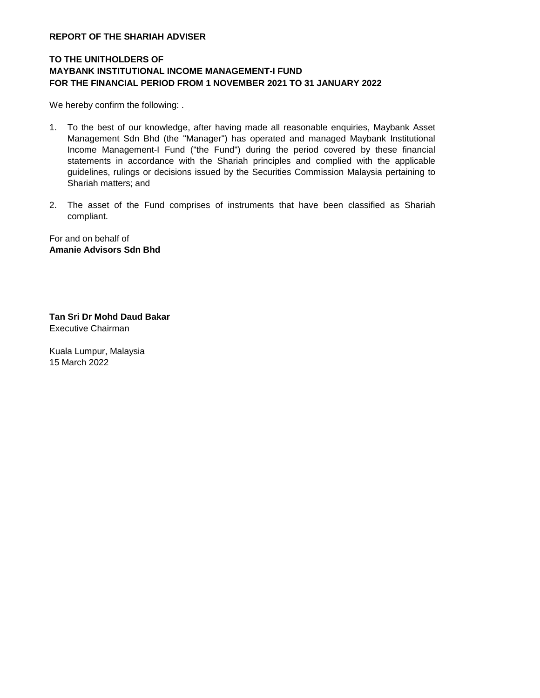#### **REPORT OF THE SHARIAH ADVISER**

## **TO THE UNITHOLDERS OF MAYBANK INSTITUTIONAL INCOME MANAGEMENT-I FUND FOR THE FINANCIAL PERIOD FROM 1 NOVEMBER 2021 TO 31 JANUARY 2022**

We hereby confirm the following: .

- 1. To the best of our knowledge, after having made all reasonable enquiries, Maybank Asset Management Sdn Bhd (the "Manager") has operated and managed Maybank Institutional Income Management-I Fund ("the Fund") during the period covered by these financial statements in accordance with the Shariah principles and complied with the applicable guidelines, rulings or decisions issued by the Securities Commission Malaysia pertaining to Shariah matters; and
- 2. The asset of the Fund comprises of instruments that have been classified as Shariah compliant.

For and on behalf of **Amanie Advisors Sdn Bhd**

**Tan Sri Dr Mohd Daud Bakar** Executive Chairman

Kuala Lumpur, Malaysia 15 March 2022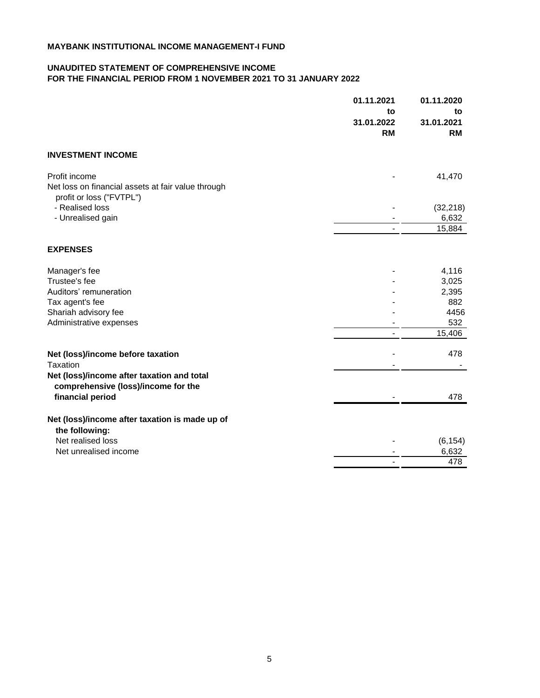#### **UNAUDITED STATEMENT OF COMPREHENSIVE INCOME FOR THE FINANCIAL PERIOD FROM 1 NOVEMBER 2021 TO 31 JANUARY 2022**

|                                                                                                 | 01.11.2021<br>to<br>31.01.2022<br><b>RM</b> | 01.11.2020<br>to<br>31.01.2021<br><b>RM</b> |
|-------------------------------------------------------------------------------------------------|---------------------------------------------|---------------------------------------------|
| <b>INVESTMENT INCOME</b>                                                                        |                                             |                                             |
| Profit income<br>Net loss on financial assets at fair value through<br>profit or loss ("FVTPL") |                                             | 41,470                                      |
| - Realised loss                                                                                 |                                             | (32, 218)                                   |
| - Unrealised gain                                                                               |                                             | 6,632                                       |
|                                                                                                 |                                             | 15,884                                      |
| <b>EXPENSES</b>                                                                                 |                                             |                                             |
| Manager's fee                                                                                   |                                             | 4,116                                       |
| Trustee's fee                                                                                   |                                             | 3,025                                       |
| Auditors' remuneration                                                                          |                                             | 2,395                                       |
| Tax agent's fee                                                                                 |                                             | 882                                         |
| Shariah advisory fee                                                                            |                                             | 4456                                        |
| Administrative expenses                                                                         |                                             | 532                                         |
|                                                                                                 |                                             | 15,406                                      |
| Net (loss)/income before taxation                                                               |                                             | 478                                         |
| Taxation                                                                                        |                                             |                                             |
| Net (loss)/income after taxation and total<br>comprehensive (loss)/income for the               |                                             |                                             |
| financial period                                                                                |                                             | 478                                         |
| Net (loss)/income after taxation is made up of<br>the following:                                |                                             |                                             |
| Net realised loss                                                                               |                                             | (6, 154)                                    |
| Net unrealised income                                                                           |                                             | 6,632                                       |
|                                                                                                 |                                             | 478                                         |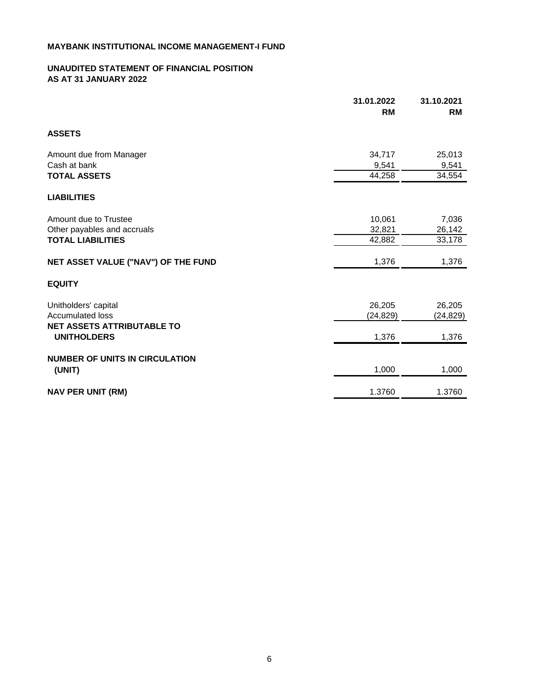## **UNAUDITED STATEMENT OF FINANCIAL POSITION AS AT 31 JANUARY 2022**

|                                                         | 31.01.2022<br><b>RM</b> | 31.10.2021<br><b>RM</b> |
|---------------------------------------------------------|-------------------------|-------------------------|
| <b>ASSETS</b>                                           |                         |                         |
| Amount due from Manager                                 | 34,717                  | 25,013                  |
| Cash at bank                                            | 9,541                   | 9,541                   |
| <b>TOTAL ASSETS</b>                                     | 44,258                  | 34,554                  |
| <b>LIABILITIES</b>                                      |                         |                         |
| Amount due to Trustee                                   | 10,061                  | 7,036                   |
| Other payables and accruals                             | 32,821                  | 26,142                  |
| <b>TOTAL LIABILITIES</b>                                | 42,882                  | 33,178                  |
| NET ASSET VALUE ("NAV") OF THE FUND                     | 1,376                   | 1,376                   |
| <b>EQUITY</b>                                           |                         |                         |
| Unitholders' capital                                    | 26,205                  | 26,205                  |
| <b>Accumulated loss</b>                                 | (24, 829)               | (24, 829)               |
| <b>NET ASSETS ATTRIBUTABLE TO</b><br><b>UNITHOLDERS</b> | 1,376                   | 1,376                   |
| <b>NUMBER OF UNITS IN CIRCULATION</b>                   |                         |                         |
| (UNIT)                                                  | 1,000                   | 1,000                   |
| <b>NAV PER UNIT (RM)</b>                                | 1.3760                  | 1.3760                  |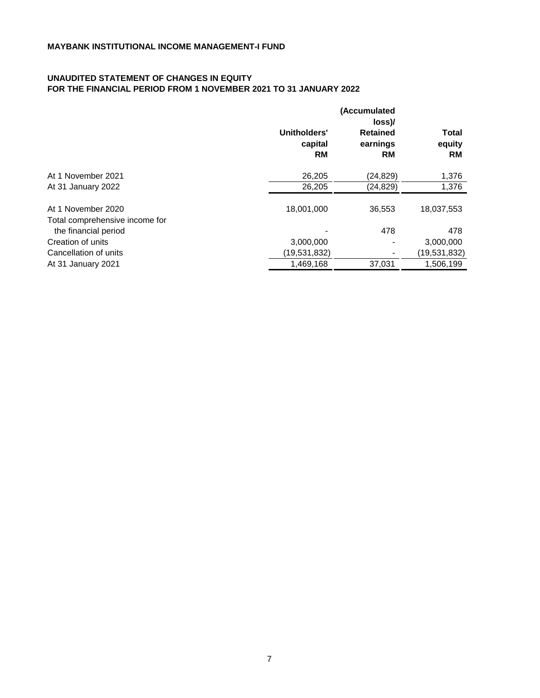## **UNAUDITED STATEMENT OF CHANGES IN EQUITY FOR THE FINANCIAL PERIOD FROM 1 NOVEMBER 2021 TO 31 JANUARY 2022**

|                                                        | (Accumulated<br>loss          |                                   |                       |
|--------------------------------------------------------|-------------------------------|-----------------------------------|-----------------------|
|                                                        | Unitholders'<br>capital<br>RM | <b>Retained</b><br>earnings<br>RM | Total<br>equity<br>RM |
| At 1 November 2021                                     | 26,205                        | (24, 829)                         | 1,376                 |
| At 31 January 2022                                     | 26,205                        | (24, 829)                         | 1,376                 |
| At 1 November 2020                                     | 18,001,000                    | 36,553                            | 18,037,553            |
| Total comprehensive income for<br>the financial period |                               | 478                               | 478                   |
| Creation of units                                      | 3,000,000                     |                                   | 3,000,000             |
| Cancellation of units                                  | (19,531,832)                  |                                   | (19,531,832)          |
| At 31 January 2021                                     | 1,469,168                     | 37,031                            | 1,506,199             |